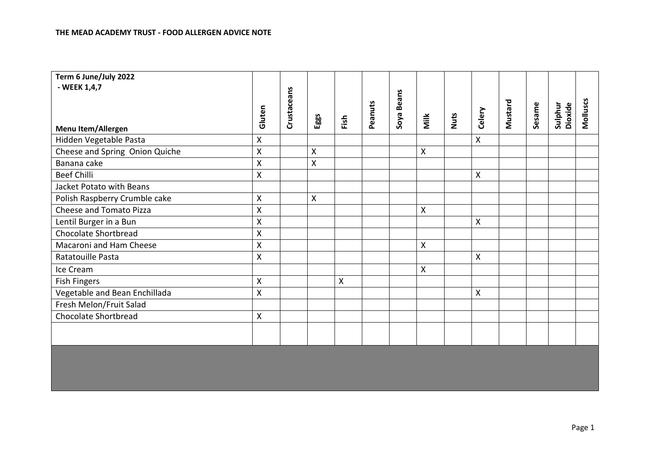| Term 6 June/July 2022          |                         |             |      |      |         |            |                    |      |                           |         |        |                    |          |
|--------------------------------|-------------------------|-------------|------|------|---------|------------|--------------------|------|---------------------------|---------|--------|--------------------|----------|
| - WEEK 1,4,7                   |                         |             |      |      |         |            |                    |      |                           |         |        |                    |          |
|                                |                         | Crustaceans |      |      |         | Soya Beans |                    |      |                           |         |        |                    |          |
|                                | Gluten                  |             |      |      | Peanuts |            |                    | Nuts | Celery                    | Mustard | Sesame | Sulphur<br>Dioxide | Molluscs |
| Menu Item/Allergen             |                         |             | Eggs | Fish |         |            | Milk               |      |                           |         |        |                    |          |
| Hidden Vegetable Pasta         | $\pmb{\mathsf{X}}$      |             |      |      |         |            |                    |      | $\boldsymbol{\mathsf{X}}$ |         |        |                    |          |
| Cheese and Spring Onion Quiche | $\pmb{\mathsf{X}}$      |             | X    |      |         |            | $\pmb{\mathsf{X}}$ |      |                           |         |        |                    |          |
| Banana cake                    | $\pmb{\mathsf{X}}$      |             | Χ    |      |         |            |                    |      |                           |         |        |                    |          |
| <b>Beef Chilli</b>             | $\mathsf{\overline{X}}$ |             |      |      |         |            |                    |      | $\mathsf{X}$              |         |        |                    |          |
| Jacket Potato with Beans       |                         |             |      |      |         |            |                    |      |                           |         |        |                    |          |
| Polish Raspberry Crumble cake  | $\pmb{\mathsf{X}}$      |             | X    |      |         |            |                    |      |                           |         |        |                    |          |
| Cheese and Tomato Pizza        | $\pmb{\mathsf{X}}$      |             |      |      |         |            | $\pmb{\mathsf{X}}$ |      |                           |         |        |                    |          |
| Lentil Burger in a Bun         | $\mathsf{\overline{X}}$ |             |      |      |         |            |                    |      | $\pmb{\mathsf{X}}$        |         |        |                    |          |
| Chocolate Shortbread           | $\pmb{\mathsf{X}}$      |             |      |      |         |            |                    |      |                           |         |        |                    |          |
| Macaroni and Ham Cheese        | $\mathsf{X}$            |             |      |      |         |            | $\pmb{\mathsf{X}}$ |      |                           |         |        |                    |          |
| Ratatouille Pasta              | $\pmb{\mathsf{X}}$      |             |      |      |         |            |                    |      | $\boldsymbol{\mathsf{X}}$ |         |        |                    |          |
| Ice Cream                      |                         |             |      |      |         |            | X                  |      |                           |         |        |                    |          |
| <b>Fish Fingers</b>            | $\pmb{\mathsf{X}}$      |             |      | Χ    |         |            |                    |      |                           |         |        |                    |          |
| Vegetable and Bean Enchillada  | $\mathsf{\mathsf{X}}$   |             |      |      |         |            |                    |      | $\pmb{\mathsf{X}}$        |         |        |                    |          |
| Fresh Melon/Fruit Salad        |                         |             |      |      |         |            |                    |      |                           |         |        |                    |          |
| <b>Chocolate Shortbread</b>    | Χ                       |             |      |      |         |            |                    |      |                           |         |        |                    |          |
|                                |                         |             |      |      |         |            |                    |      |                           |         |        |                    |          |
|                                |                         |             |      |      |         |            |                    |      |                           |         |        |                    |          |
|                                |                         |             |      |      |         |            |                    |      |                           |         |        |                    |          |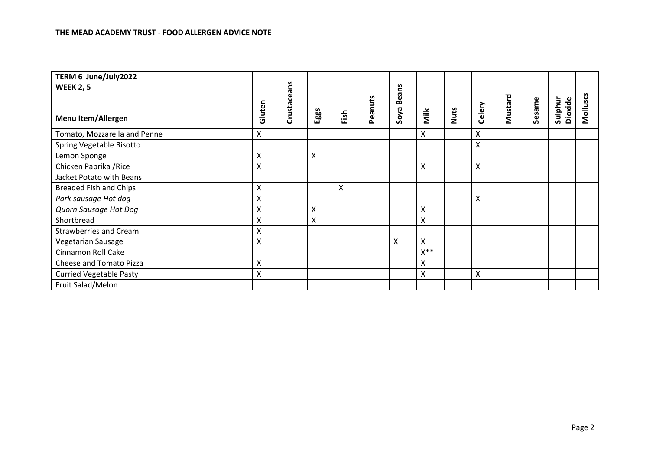| TERM 6 June/July2022           |                    |           |                    |      |         |            |                |      |                    |         |        |                    |          |
|--------------------------------|--------------------|-----------|--------------------|------|---------|------------|----------------|------|--------------------|---------|--------|--------------------|----------|
| <b>WEEK 2, 5</b>               |                    | <u>័</u>  |                    |      |         |            |                |      |                    |         |        |                    |          |
| <b>Menu Item/Allergen</b>      | Gluten             | Crustacea | Eggs               | Fish | Peanuts | Soya Beans | Milk           | Nuts | Celery             | Mustard | Sesame | Dioxide<br>Sulphur | Molluscs |
| Tomato, Mozzarella and Penne   | $\pmb{\times}$     |           |                    |      |         |            | X              |      | Χ                  |         |        |                    |          |
| Spring Vegetable Risotto       |                    |           |                    |      |         |            |                |      | X                  |         |        |                    |          |
| Lemon Sponge                   | X                  |           | Χ                  |      |         |            |                |      |                    |         |        |                    |          |
| Chicken Paprika / Rice         | $\pmb{\mathsf{X}}$ |           |                    |      |         |            | Χ              |      | X                  |         |        |                    |          |
| Jacket Potato with Beans       |                    |           |                    |      |         |            |                |      |                    |         |        |                    |          |
| <b>Breaded Fish and Chips</b>  | $\pmb{\mathsf{X}}$ |           |                    | X    |         |            |                |      |                    |         |        |                    |          |
| Pork sausage Hot dog           | Χ                  |           |                    |      |         |            |                |      | Χ                  |         |        |                    |          |
| Quorn Sausage Hot Dog          | $\mathsf{X}$       |           | $\pmb{\mathsf{X}}$ |      |         |            | Χ              |      |                    |         |        |                    |          |
| Shortbread                     | $\pmb{\mathsf{X}}$ |           | $\pmb{\mathsf{X}}$ |      |         |            | X              |      |                    |         |        |                    |          |
| <b>Strawberries and Cream</b>  | Χ                  |           |                    |      |         |            |                |      |                    |         |        |                    |          |
| Vegetarian Sausage             | $\pmb{\mathsf{X}}$ |           |                    |      |         | Χ          | Χ              |      |                    |         |        |                    |          |
| Cinnamon Roll Cake             |                    |           |                    |      |         |            | $X^{\ast\ast}$ |      |                    |         |        |                    |          |
| Cheese and Tomato Pizza        | $\pmb{\times}$     |           |                    |      |         |            | X              |      |                    |         |        |                    |          |
| <b>Curried Vegetable Pasty</b> | $\pmb{\mathsf{X}}$ |           |                    |      |         |            | X              |      | $\pmb{\mathsf{X}}$ |         |        |                    |          |
| Fruit Salad/Melon              |                    |           |                    |      |         |            |                |      |                    |         |        |                    |          |